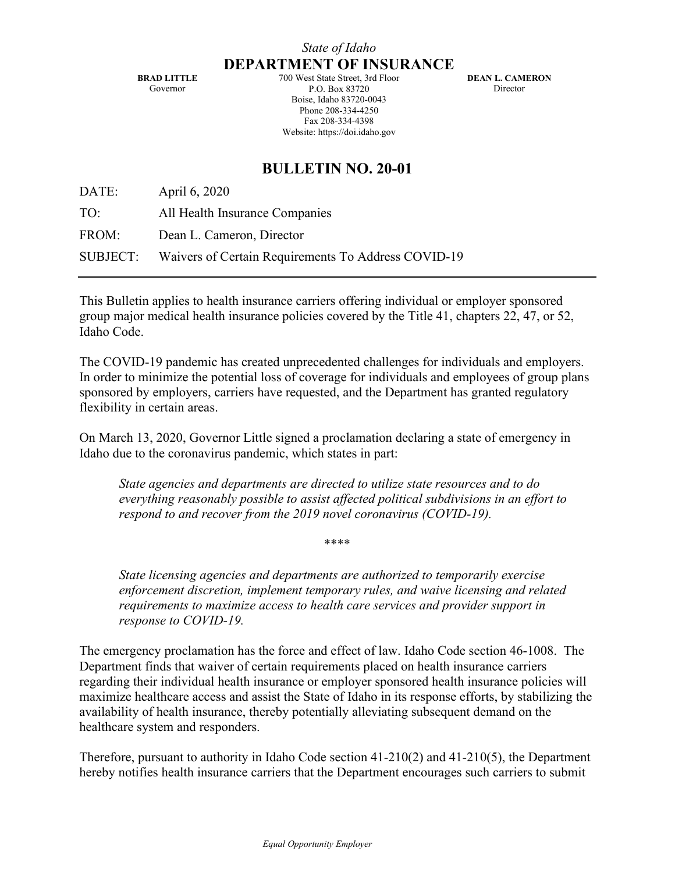**BRAD LITTLE** Governor

700 West State Street, 3rd Floor P.O. Box 83720 Boise, Idaho 83720-0043 Phone 208-334-4250 Fax 208-334-4398 Website: https://doi.idaho.gov

**DEAN L. CAMERON** Director

## **BULLETIN NO. 20-01**

DATE: April 6, 2020 TO: All Health Insurance Companies FROM: Dean L. Cameron, Director SUBJECT: Waivers of Certain Requirements To Address COVID-19

This Bulletin applies to health insurance carriers offering individual or employer sponsored group major medical health insurance policies covered by the Title 41, chapters 22, 47, or 52, Idaho Code.

The COVID-19 pandemic has created unprecedented challenges for individuals and employers. In order to minimize the potential loss of coverage for individuals and employees of group plans sponsored by employers, carriers have requested, and the Department has granted regulatory flexibility in certain areas.

On March 13, 2020, Governor Little signed a proclamation declaring a state of emergency in Idaho due to the coronavirus pandemic, which states in part:

*State agencies and departments are directed to utilize state resources and to do everything reasonably possible to assist affected political subdivisions in an effort to respond to and recover from the 2019 novel coronavirus (COVID-19).* 

\*\*\*\*

*State licensing agencies and departments are authorized to temporarily exercise enforcement discretion, implement temporary rules, and waive licensing and related requirements to maximize access to health care services and provider support in response to COVID-19.* 

The emergency proclamation has the force and effect of law. Idaho Code section 46-1008. The Department finds that waiver of certain requirements placed on health insurance carriers regarding their individual health insurance or employer sponsored health insurance policies will maximize healthcare access and assist the State of Idaho in its response efforts, by stabilizing the availability of health insurance, thereby potentially alleviating subsequent demand on the healthcare system and responders.

Therefore, pursuant to authority in Idaho Code section 41-210(2) and 41-210(5), the Department hereby notifies health insurance carriers that the Department encourages such carriers to submit